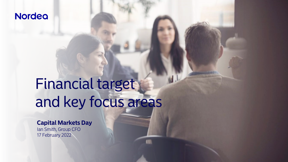# **Nordea**

# Financial target and key focus areas

### **Capital Markets Day**

Ian Smith, Group CFO 17 February 2022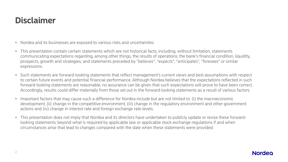# **Disclaimer**

- Nordea and its businesses are exposed to various risks and uncertainties.
- This presentation contain certain statements which are not historical facts, including, without limitation, statements communicating expectations regarding, among other things, the results of operations, the bank's financial condition, liquidity, prospects, growth and strategies; and statements preceded by "believes", "expects", "anticipates", "foresees" or similar expressions.
- Such statements are forward-looking statements that reflect management's current views and best assumptions with respect to certain future events and potential financial performance. Although Nordea believes that the expectations reflected in such forward-looking statements are reasonable, no assurance can be given that such expectations will prove to have been correct. Accordingly, results could differ materially from those set out in the forward-looking statements as a result of various factors.
- Important factors that may cause such a difference for Nordea include but are not limited to: (i) the macroeconomic development, (ii) change in the competitive environment, (iii) change in the regulatory environment and other government actions and (iv) change in interest rate and foreign exchange rate levels.
- This presentation does not imply that Nordea and its directors have undertaken to publicly update or revise these forwardlooking statements, beyond what is required by applicable law or applicable stock exchange regulations if and when circumstances arise that lead to changes compared with the date when these statements were provided.

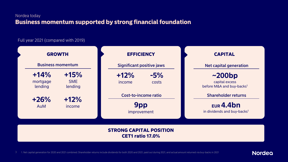#### Nordea today Business momentum supported by strong financial foundation

#### Full year 2021 (compared with 2019)



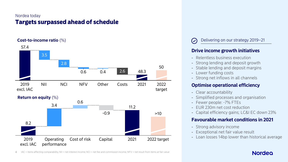#### Nordea today Targets surpassed ahead of schedule



Delivering on our strategy 2019–21

#### **Drive income growth initiatives**

- Relentless business execution
- Strong lending and deposit growth
- Stable lending and deposit margins
- Lower funding costs
- Strong net inflows in all channels

#### **Optimise operational efficiency**

- Clear accountability
- Simplified processes and organisation
- Fewer people: -7% FTEs
- EUR 230m net cost reduction
- Capital efficiency gains; LC&I EC down 23%

#### **Favourable market conditions in 2021**

- Strong advisory income
- Exceptional net fair value result
- Loan losses 14bp lower than historical average

4 IAC = items affecting comparability; NII = net interest income; NCI = net fee and commission income; NFV = net result from items at fair value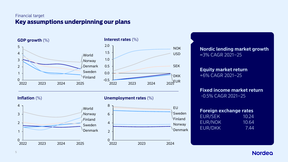#### Financial target Key assumptions underpinning our plans



**Nordic lending market growth** ~3% CAGR 2021–25

**Equity market return** +6% CAGR 2021–25

**Fixed income market return** -0.5% CAGR 2021–25

| <b>Foreign exchange rates</b> |       |  |
|-------------------------------|-------|--|
| EUR/SEK                       | 10.24 |  |
| EUR/NOK                       | 10.64 |  |
| EUR/DKK                       | 7.44  |  |

**Nordea**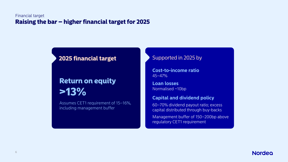#### Financial target Raising the bar – higher financial target for 2025

## 2025 financial target

# Return on equity >13%

Assumes CET1 requirement of 15–16%, including management buffer

#### Supported in 2025 by

**Cost-to-income ratio** 45–47%

**Loan losses** Normalised ~10bp

#### **Capital and dividend policy**

60–70% dividend payout ratio; excess capital distributed through buy-backs Management buffer of 150–200bp above regulatory CET1 requirement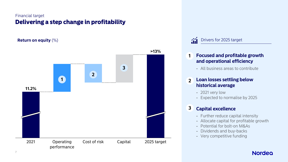#### Financial target Delivering a step change in profitability

**Return on equity** (%)



 $\mathbf{\hat{m}}$ Drivers for 2025 target

#### **Focused and profitable growth and operational efficiency 1**

- All business areas to contribute

#### **Loan losses settling below historical average**  $\mathbf{2}$

- 2021 very low
- Expected to normalise by 2025

#### **Capital excellence 3**

- Further reduce capital intensity
- Allocate capital for profitable growth
- Potential for bolt-on M&As
- Dividends and buy-backs
- Very competitive funding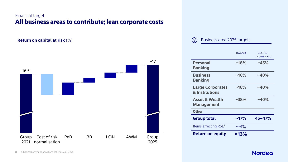#### Financial target All business areas to contribute; lean corporate costs

**Return on capital at risk** (%)



#### $\mathcal{O}$ Business area 2025 targets

|                                                | <b>ROCAR</b> | $Cost-to-$<br>income ratio |
|------------------------------------------------|--------------|----------------------------|
| <b>Personal</b><br><b>Banking</b>              | $~18\%$      | ~145%                      |
| <b>Business</b><br><b>Banking</b>              | $~16\%$      | $~140\%$                   |
| <b>Large Corporates</b><br>& Institutions      | $~16\%$      | $~140\%$                   |
| <b>Asset &amp; Wealth</b><br><b>Management</b> | $~1.38\%$    | $~140\%$                   |
| <b>Other</b>                                   |              |                            |
| <b>Group total</b>                             | $~17\%$      | $45 - 47%$                 |
| Items affecting RoE <sup>1</sup>               | $\sim -4\%$  |                            |
| <b>Return on equity</b>                        | $>13\%$      |                            |

#### **Nordea**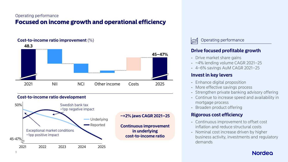#### Operating performance Focused on income growth and operational efficiency

# **Cost-to-income ratio improvement** (%) NII **48.3** 2021 NCI Other income Costs 2025 **45–47%**



#### Operating performance

#### **Drive focused profitable growth**

- Drive market share gains
- ~4% lending volume CAGR 2021–25
- 4–6% savings AuM CAGR 2021–25

#### **Invest in key levers**

- Enhance digital proposition
- More effective savings process
- Strengthen private banking advisory offering
- Continue to increase speed and availability in mortgage process
- Broaden product offering

#### **Rigorous cost efficiency**

- Continuous improvement to offset cost inflation and reduce structural costs
- Nominal cost increase driven by higher business activity, investments and regulatory demands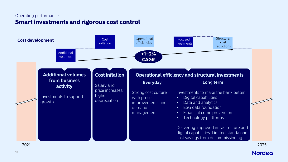#### Operating performance Smart investments and rigorous cost control



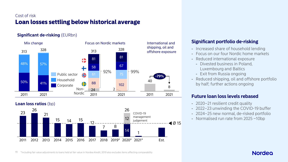#### Cost of risk Loan losses settling below historical average

#### **Significant de-risking** (EURbn)



#### **Loan loss ratios** (bp)



#### **Significant portfolio de-risking**

- Increased share of household lending
- Focus on our four Nordic home markets
- Reduced international exposure
	- Divested business in Poland, Luxembourg and Baltics
	- Exit from Russia ongoing
- Reduced shipping, oil and offshore portfolio by half; further actions ongoing

#### **Future loan loss levels rebased**

- 2020–21 resilient credit quality
- 2022–23 unwinding the COVID-19 buffer
- 2024–25 new normal, de-risked portfolio
- Normalised run rate from 2025 ~10bp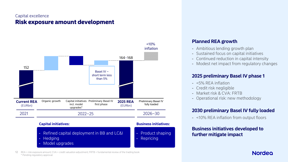#### Capital excellence Risk exposure amount development



#### **Planned REA growth**

- Ambitious lending growth plan
- Sustained focus on capital initiatives
- Continued reduction in capital intensity
- Modest net impact from regulatory changes

#### **2025 preliminary Basel IV phase 1**

- <5% REA inflation
- Credit risk negligible
- Market risk & CVA: FRTB
- Operational risk: new methodology

#### **2030 preliminary Basel IV fully loaded**

- <10% REA inflation from output floors

#### **Business initiatives developed to further mitigate impact**

12 REA = risk exposure amount; CVA = credit valuation adjustment; FRTB = fundamental review of the trading book \* Pending regulatory approval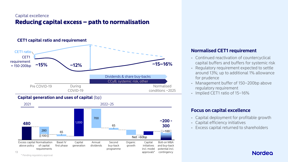#### Capital excellence Reducing capital excess – path to normalisation



#### **Capital generation and uses of capital** (bp)



#### **Normalised CET1 requirement**

- Continued reactivation of countercyclical capital buffers and buffers for systemic risk
- Regulatory requirement expected to settle around 13%; up to additional 1% allowance for prudence
- Management buffer of 150–200bp above regulatory requirement
- Implied CET1 ratio of 15–16%

#### **Focus on capital excellence**

- Capital deployment for profitable growth
- Capital efficiency initiatives
- Excess capital returned to shareholders

#### **Nordeo**

\* Pending regulatory approval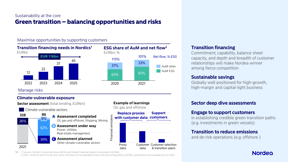#### Sustainability at the core Green transition – balancing opportunities and risks

#### Maximise opportunities by supporting customers





Manage risks

#### **Climate-vulnerable exposure**



14 1. Sources: Boston Consulting Group (BCG) and Global Financial Markets Association (GFMA) 2. ESG = article 8 and 9 funds, prior years not shown as Sustainable Finance Disclosure Regulation (SFDR) classification not available prior to 2020

#### **Transition financing**

Commitment, capability, balance sheet capacity, and depth and breadth of customer relationships will make Nordea winner among fierce competition

#### **Sustainable savings**

Globally well positioned for high-growth, high-margin and capital-light business

#### **Sector deep dive assessments**

#### **Engage to support customers**

in establishing credible green transition paths (e.g. investments in green vessels)

#### **Transition to reduce emissions**

and de-risk operations (e.g. offshore )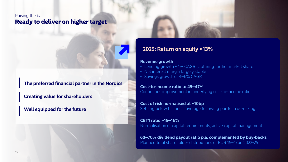#### Raising the bar: Ready to deliver on higher target

**The preferred financial partner in the Nordics**

**Creating value for shareholders**

**Well equipped for the future**

#### **2025: Return on equity >13%**

#### **Revenue growth**

- Lending growth ~4% CAGR capturing further market share
- Net interest margin largely stable
- Savings growth of 4–6% CAGR

#### **Cost-to-income ratio to 45–47%** Continuous improvement in underlying cost-to-income ratio

**Cost of risk normalised at ~10bp** Settling below historical average following portfolio de-risking

**CET1 ratio ~15–16%** Normalisation of capital requirements; active capital management

**60–70% dividend payout ratio p.a. complemented by buy-backs** Planned total shareholder distributions of EUR 15–17bn 2022-25